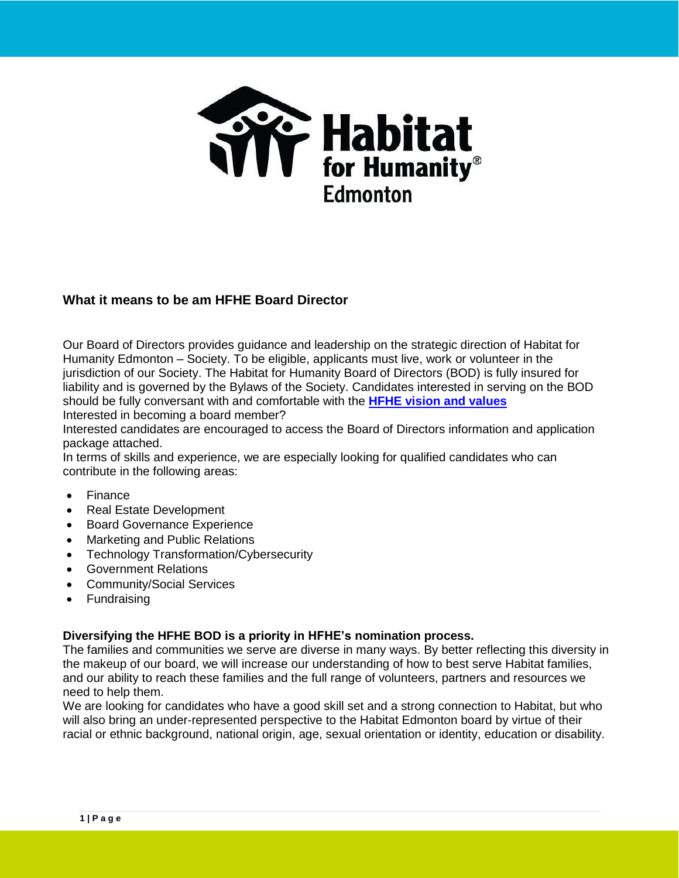

# **What it means to be am HFHE Board Director**

Our Board of Directors provides guidance and leadership on the strategic direction of Habitat for Humanity Edmonton – Society. To be eligible, applicants must live, work or volunteer in the jurisdiction of our Society. The Habitat for Humanity Board of Directors (BOD) is fully insured for liability and is governed by the Bylaws of the Society. Candidates interested in serving on the BOD should be fully conversant with and comfortable with the **[HFHE vision and values](https://hfh.org/about/)** Interested in becoming a board member?

Interested candidates are encouraged to access the Board of Directors information and application package attached.

In terms of skills and experience, we are especially looking for qualified candidates who can contribute in the following areas:

- Finance
- Real Estate Development
- Board Governance Experience
- Marketing and Public Relations
- Technology Transformation/Cybersecurity
- Government Relations
- Community/Social Services
- Fundraising

## **Diversifying the HFHE BOD is a priority in HFHE's nomination process.**

The families and communities we serve are diverse in many ways. By better reflecting this diversity in the makeup of our board, we will increase our understanding of how to best serve Habitat families, and our ability to reach these families and the full range of volunteers, partners and resources we need to help them.

We are looking for candidates who have a good skill set and a strong connection to Habitat, but who will also bring an under-represented perspective to the Habitat Edmonton board by virtue of their racial or ethnic background, national origin, age, sexual orientation or identity, education or disability.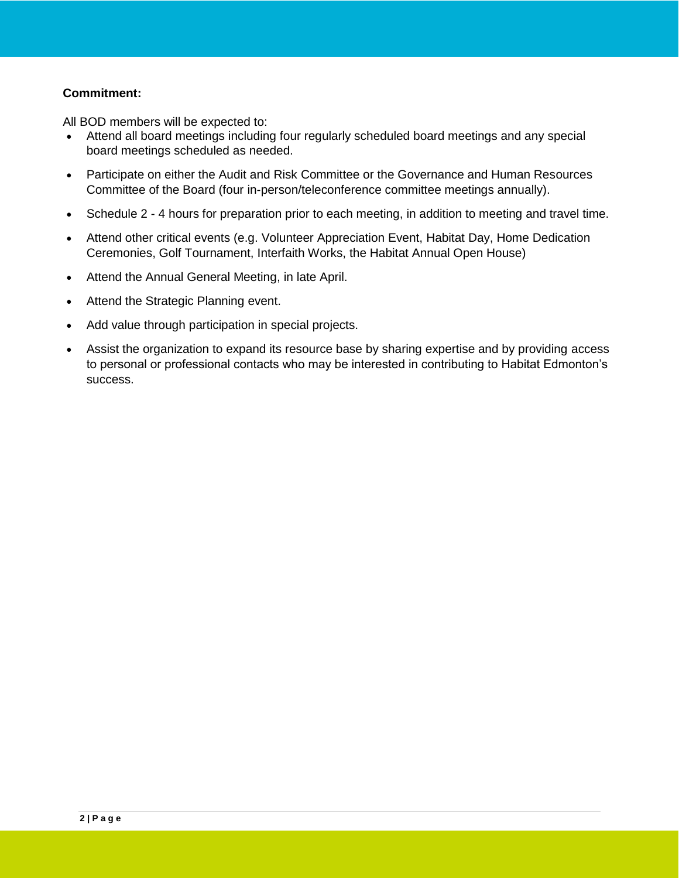## **Commitment:**

All BOD members will be expected to:

- Attend all board meetings including four regularly scheduled board meetings and any special board meetings scheduled as needed.
- Participate on either the Audit and Risk Committee or the Governance and Human Resources Committee of the Board (four in-person/teleconference committee meetings annually).
- Schedule 2 4 hours for preparation prior to each meeting, in addition to meeting and travel time.
- Attend other critical events (e.g. Volunteer Appreciation Event, Habitat Day, Home Dedication Ceremonies, Golf Tournament, Interfaith Works, the Habitat Annual Open House)
- Attend the Annual General Meeting, in late April.
- Attend the Strategic Planning event.
- Add value through participation in special projects.
- Assist the organization to expand its resource base by sharing expertise and by providing access to personal or professional contacts who may be interested in contributing to Habitat Edmonton's success.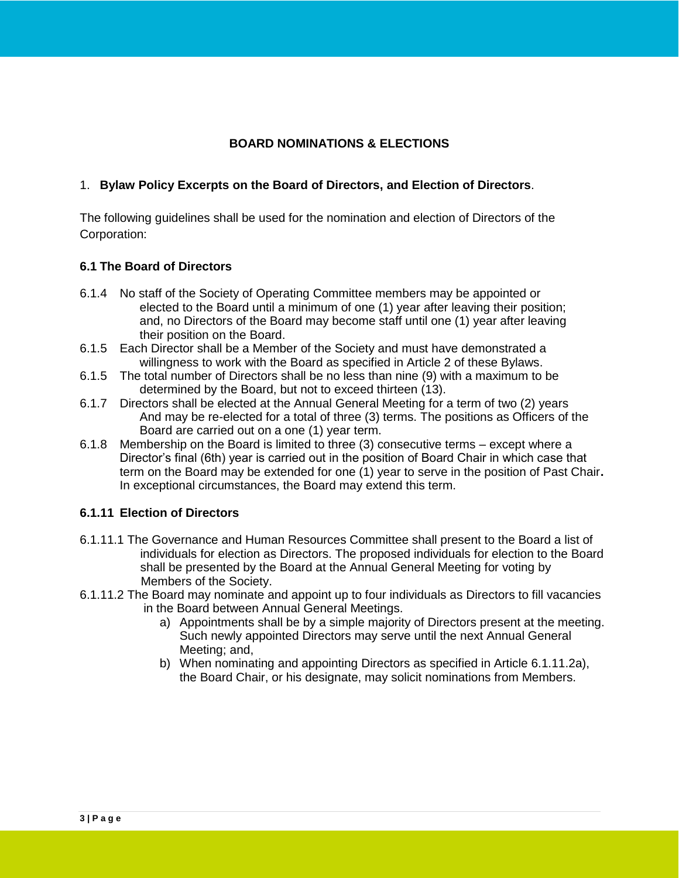## **BOARD NOMINATIONS & ELECTIONS**

## 1. **Bylaw Policy Excerpts on the Board of Directors, and Election of Directors**.

The following guidelines shall be used for the nomination and election of Directors of the Corporation:

### **6.1 The Board of Directors**

- 6.1.4 No staff of the Society of Operating Committee members may be appointed or elected to the Board until a minimum of one (1) year after leaving their position; and, no Directors of the Board may become staff until one (1) year after leaving their position on the Board.
- 6.1.5 Each Director shall be a Member of the Society and must have demonstrated a willingness to work with the Board as specified in Article 2 of these Bylaws.
- 6.1.5 The total number of Directors shall be no less than nine (9) with a maximum to be determined by the Board, but not to exceed thirteen (13).
- 6.1.7 Directors shall be elected at the Annual General Meeting for a term of two (2) years And may be re-elected for a total of three (3) terms. The positions as Officers of the Board are carried out on a one (1) year term.
- 6.1.8 Membership on the Board is limited to three (3) consecutive terms except where a Director's final (6th) year is carried out in the position of Board Chair in which case that term on the Board may be extended for one (1) year to serve in the position of Past Chair**.** In exceptional circumstances, the Board may extend this term.

### **6.1.11 Election of Directors**

- 6.1.11.1 The Governance and Human Resources Committee shall present to the Board a list of individuals for election as Directors. The proposed individuals for election to the Board shall be presented by the Board at the Annual General Meeting for voting by Members of the Society.
- 6.1.11.2 The Board may nominate and appoint up to four individuals as Directors to fill vacancies in the Board between Annual General Meetings.
	- a) Appointments shall be by a simple majority of Directors present at the meeting. Such newly appointed Directors may serve until the next Annual General Meeting; and,
	- b) When nominating and appointing Directors as specified in Article 6.1.11.2a), the Board Chair, or his designate, may solicit nominations from Members.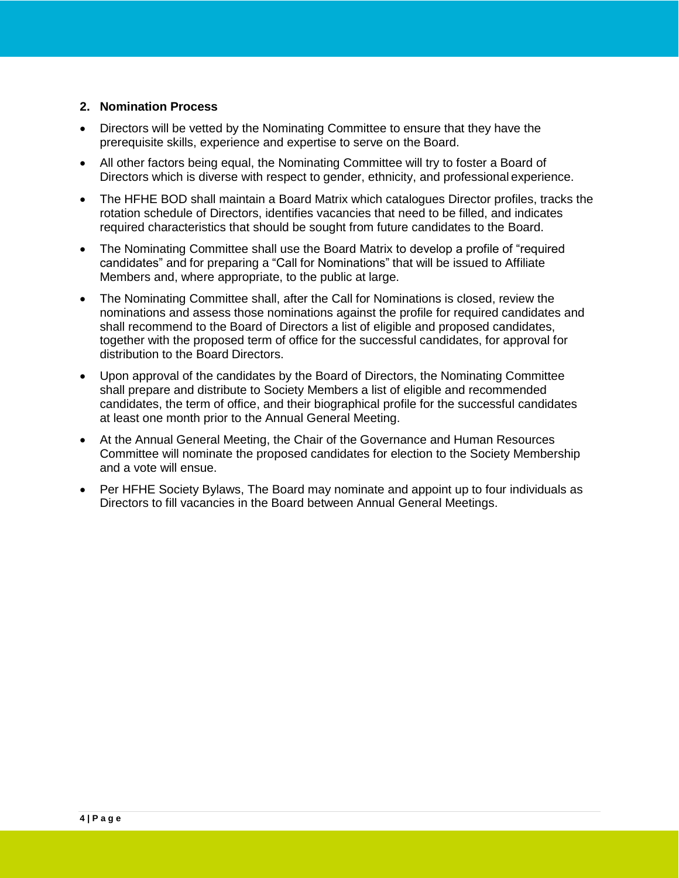## **2. Nomination Process**

- Directors will be vetted by the Nominating Committee to ensure that they have the prerequisite skills, experience and expertise to serve on the Board.
- All other factors being equal, the Nominating Committee will try to foster a Board of Directors which is diverse with respect to gender, ethnicity, and professional experience.
- The HFHE BOD shall maintain a Board Matrix which catalogues Director profiles, tracks the rotation schedule of Directors, identifies vacancies that need to be filled, and indicates required characteristics that should be sought from future candidates to the Board.
- The Nominating Committee shall use the Board Matrix to develop a profile of "required candidates" and for preparing a "Call for Nominations" that will be issued to Affiliate Members and, where appropriate, to the public at large.
- The Nominating Committee shall, after the Call for Nominations is closed, review the nominations and assess those nominations against the profile for required candidates and shall recommend to the Board of Directors a list of eligible and proposed candidates, together with the proposed term of office for the successful candidates, for approval for distribution to the Board Directors.
- Upon approval of the candidates by the Board of Directors, the Nominating Committee shall prepare and distribute to Society Members a list of eligible and recommended candidates, the term of office, and their biographical profile for the successful candidates at least one month prior to the Annual General Meeting.
- At the Annual General Meeting, the Chair of the Governance and Human Resources Committee will nominate the proposed candidates for election to the Society Membership and a vote will ensue.
- Per HFHE Society Bylaws, The Board may nominate and appoint up to four individuals as Directors to fill vacancies in the Board between Annual General Meetings.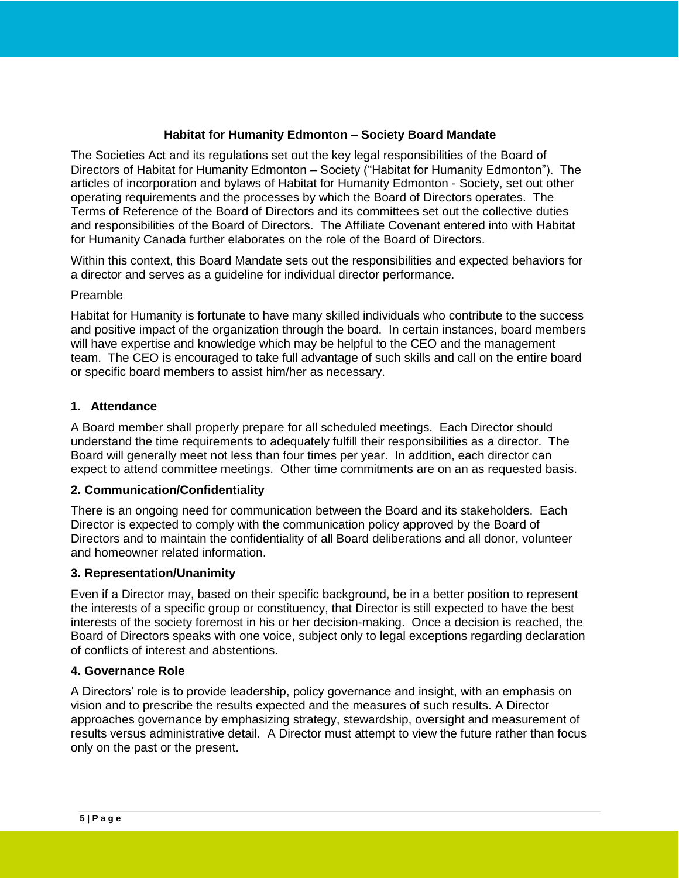## **Habitat for Humanity Edmonton – Society Board Mandate**

The Societies Act and its regulations set out the key legal responsibilities of the Board of Directors of Habitat for Humanity Edmonton – Society ("Habitat for Humanity Edmonton"). The articles of incorporation and bylaws of Habitat for Humanity Edmonton - Society, set out other operating requirements and the processes by which the Board of Directors operates. The Terms of Reference of the Board of Directors and its committees set out the collective duties and responsibilities of the Board of Directors. The Affiliate Covenant entered into with Habitat for Humanity Canada further elaborates on the role of the Board of Directors.

Within this context, this Board Mandate sets out the responsibilities and expected behaviors for a director and serves as a guideline for individual director performance.

### Preamble

Habitat for Humanity is fortunate to have many skilled individuals who contribute to the success and positive impact of the organization through the board. In certain instances, board members will have expertise and knowledge which may be helpful to the CEO and the management team. The CEO is encouraged to take full advantage of such skills and call on the entire board or specific board members to assist him/her as necessary.

## **1. Attendance**

A Board member shall properly prepare for all scheduled meetings. Each Director should understand the time requirements to adequately fulfill their responsibilities as a director. The Board will generally meet not less than four times per year. In addition, each director can expect to attend committee meetings. Other time commitments are on an as requested basis.

### **2. Communication/Confidentiality**

There is an ongoing need for communication between the Board and its stakeholders. Each Director is expected to comply with the communication policy approved by the Board of Directors and to maintain the confidentiality of all Board deliberations and all donor, volunteer and homeowner related information.

## **3. Representation/Unanimity**

Even if a Director may, based on their specific background, be in a better position to represent the interests of a specific group or constituency, that Director is still expected to have the best interests of the society foremost in his or her decision-making. Once a decision is reached, the Board of Directors speaks with one voice, subject only to legal exceptions regarding declaration of conflicts of interest and abstentions.

### **4. Governance Role**

A Directors' role is to provide leadership, policy governance and insight, with an emphasis on vision and to prescribe the results expected and the measures of such results. A Director approaches governance by emphasizing strategy, stewardship, oversight and measurement of results versus administrative detail. A Director must attempt to view the future rather than focus only on the past or the present.